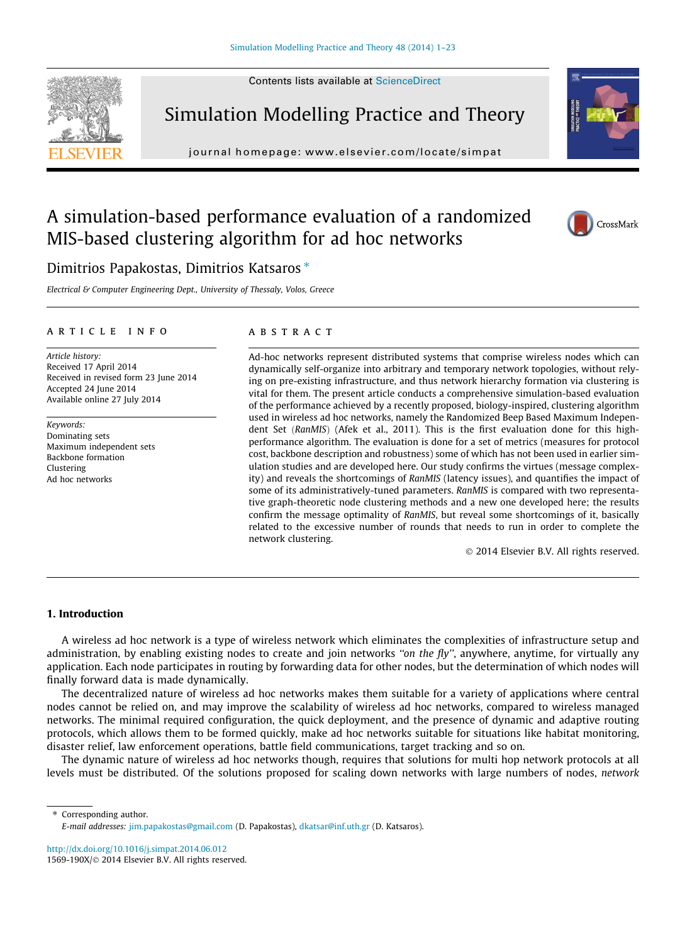Contents lists available at [ScienceDirect](http://www.sciencedirect.com/science/journal/1569190X)





journal homepage: [www.elsevier.com/locate/simpat](http://www.elsevier.com/locate/simpat)



## A simulation-based performance evaluation of a randomized MIS-based clustering algorithm for ad hoc networks



### Dimitrios Papakostas, Dimitrios Katsaros<sup>\*</sup>

Electrical & Computer Engineering Dept., University of Thessaly, Volos, Greece

#### article info

Article history: Received 17 April 2014 Received in revised form 23 June 2014 Accepted 24 June 2014 Available online 27 July 2014

Keywords: Dominating sets Maximum independent sets Backbone formation Clustering Ad hoc networks

#### **ARSTRACT**

Ad-hoc networks represent distributed systems that comprise wireless nodes which can dynamically self-organize into arbitrary and temporary network topologies, without relying on pre-existing infrastructure, and thus network hierarchy formation via clustering is vital for them. The present article conducts a comprehensive simulation-based evaluation of the performance achieved by a recently proposed, biology-inspired, clustering algorithm used in wireless ad hoc networks, namely the Randomized Beep Based Maximum Independent Set (RanMIS) (Afek et al., 2011). This is the first evaluation done for this highperformance algorithm. The evaluation is done for a set of metrics (measures for protocol cost, backbone description and robustness) some of which has not been used in earlier simulation studies and are developed here. Our study confirms the virtues (message complexity) and reveals the shortcomings of RanMIS (latency issues), and quantifies the impact of some of its administratively-tuned parameters. RanMIS is compared with two representative graph-theoretic node clustering methods and a new one developed here; the results confirm the message optimality of RanMIS, but reveal some shortcomings of it, basically related to the excessive number of rounds that needs to run in order to complete the network clustering.

- 2014 Elsevier B.V. All rights reserved.

#### 1. Introduction

A wireless ad hoc network is a type of wireless network which eliminates the complexities of infrastructure setup and administration, by enabling existing nodes to create and join networks "on the fly", anywhere, anytime, for virtually any application. Each node participates in routing by forwarding data for other nodes, but the determination of which nodes will finally forward data is made dynamically.

The decentralized nature of wireless ad hoc networks makes them suitable for a variety of applications where central nodes cannot be relied on, and may improve the scalability of wireless ad hoc networks, compared to wireless managed networks. The minimal required configuration, the quick deployment, and the presence of dynamic and adaptive routing protocols, which allows them to be formed quickly, make ad hoc networks suitable for situations like habitat monitoring, disaster relief, law enforcement operations, battle field communications, target tracking and so on.

The dynamic nature of wireless ad hoc networks though, requires that solutions for multi hop network protocols at all levels must be distributed. Of the solutions proposed for scaling down networks with large numbers of nodes, network

⇑ Corresponding author. E-mail addresses: [jim.papakostas@gmail.com](mailto:jim.papakostas@gmail.com) (D. Papakostas), [dkatsar@inf.uth.gr](mailto:dkatsar@inf.uth.gr) (D. Katsaros).

<http://dx.doi.org/10.1016/j.simpat.2014.06.012> 1569-190X/© 2014 Elsevier B.V. All rights reserved.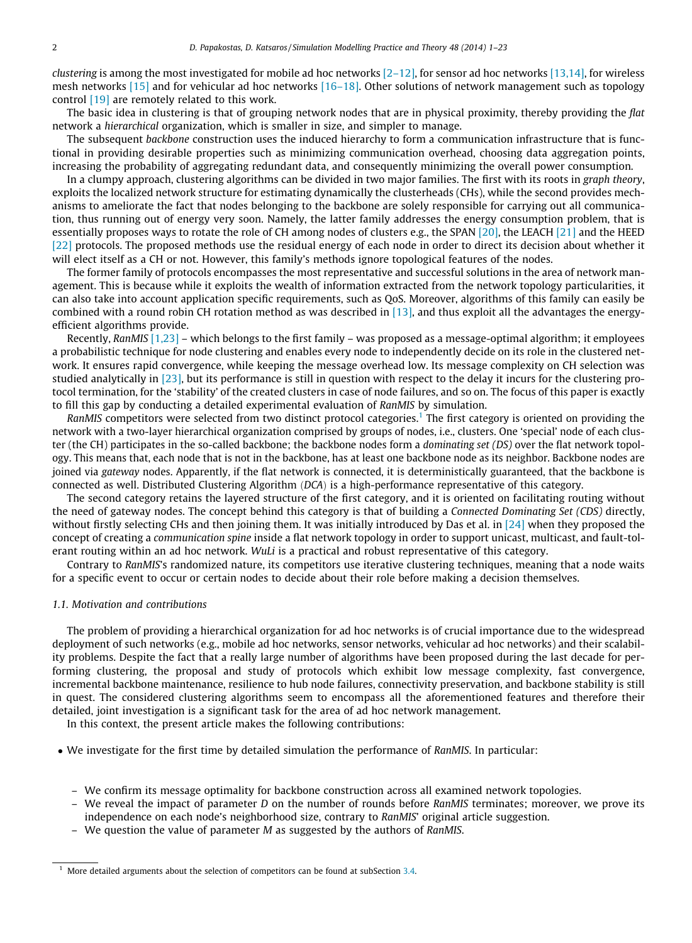clustering is among the most investigated for mobile ad hoc networks  $[2-12]$ , for sensor ad hoc networks  $[13,14]$ , for wireless mesh networks [\[15\]](#page--1-0) and for vehicular ad hoc networks [\[16–18\]](#page--1-0). Other solutions of network management such as topology control [\[19\]](#page--1-0) are remotely related to this work.

The basic idea in clustering is that of grouping network nodes that are in physical proximity, thereby providing the flat network a hierarchical organization, which is smaller in size, and simpler to manage.

The subsequent backbone construction uses the induced hierarchy to form a communication infrastructure that is functional in providing desirable properties such as minimizing communication overhead, choosing data aggregation points, increasing the probability of aggregating redundant data, and consequently minimizing the overall power consumption.

In a clumpy approach, clustering algorithms can be divided in two major families. The first with its roots in graph theory, exploits the localized network structure for estimating dynamically the clusterheads (CHs), while the second provides mechanisms to ameliorate the fact that nodes belonging to the backbone are solely responsible for carrying out all communication, thus running out of energy very soon. Namely, the latter family addresses the energy consumption problem, that is essentially proposes ways to rotate the role of CH among nodes of clusters e.g., the SPAN [\[20\]](#page--1-0), the LEACH [\[21\]](#page--1-0) and the HEED [\[22\]](#page--1-0) protocols. The proposed methods use the residual energy of each node in order to direct its decision about whether it will elect itself as a CH or not. However, this family's methods ignore topological features of the nodes.

The former family of protocols encompasses the most representative and successful solutions in the area of network management. This is because while it exploits the wealth of information extracted from the network topology particularities, it can also take into account application specific requirements, such as QoS. Moreover, algorithms of this family can easily be combined with a round robin CH rotation method as was described in [\[13\]](#page--1-0), and thus exploit all the advantages the energyefficient algorithms provide.

Recently, RanMIS [\[1,23\]](#page--1-0) – which belongs to the first family – was proposed as a message-optimal algorithm; it employees a probabilistic technique for node clustering and enables every node to independently decide on its role in the clustered network. It ensures rapid convergence, while keeping the message overhead low. Its message complexity on CH selection was studied analytically in [\[23\],](#page--1-0) but its performance is still in question with respect to the delay it incurs for the clustering protocol termination, for the 'stability' of the created clusters in case of node failures, and so on. The focus of this paper is exactly to fill this gap by conducting a detailed experimental evaluation of RanMIS by simulation.

RanMIS competitors were selected from two distinct protocol categories.<sup>1</sup> The first category is oriented on providing the network with a two-layer hierarchical organization comprised by groups of nodes, i.e., clusters. One 'special' node of each cluster (the CH) participates in the so-called backbone; the backbone nodes form a dominating set (DS) over the flat network topology. This means that, each node that is not in the backbone, has at least one backbone node as its neighbor. Backbone nodes are joined via gateway nodes. Apparently, if the flat network is connected, it is deterministically guaranteed, that the backbone is connected as well. Distributed Clustering Algorithm (DCA) is a high-performance representative of this category.

The second category retains the layered structure of the first category, and it is oriented on facilitating routing without the need of gateway nodes. The concept behind this category is that of building a Connected Dominating Set (CDS) directly, without firstly selecting CHs and then joining them. It was initially introduced by Das et al. in  $[24]$  when they proposed the concept of creating a communication spine inside a flat network topology in order to support unicast, multicast, and fault-tolerant routing within an ad hoc network. WuLi is a practical and robust representative of this category.

Contrary to RanMIS's randomized nature, its competitors use iterative clustering techniques, meaning that a node waits for a specific event to occur or certain nodes to decide about their role before making a decision themselves.

#### 1.1. Motivation and contributions

The problem of providing a hierarchical organization for ad hoc networks is of crucial importance due to the widespread deployment of such networks (e.g., mobile ad hoc networks, sensor networks, vehicular ad hoc networks) and their scalability problems. Despite the fact that a really large number of algorithms have been proposed during the last decade for performing clustering, the proposal and study of protocols which exhibit low message complexity, fast convergence, incremental backbone maintenance, resilience to hub node failures, connectivity preservation, and backbone stability is still in quest. The considered clustering algorithms seem to encompass all the aforementioned features and therefore their detailed, joint investigation is a significant task for the area of ad hoc network management.

In this context, the present article makes the following contributions:

- We investigate for the first time by detailed simulation the performance of RanMIS. In particular:
	- We confirm its message optimality for backbone construction across all examined network topologies.
	- We reveal the impact of parameter D on the number of rounds before RanMIS terminates; moreover, we prove its independence on each node's neighborhood size, contrary to RanMIS' original article suggestion.
	- We question the value of parameter  $M$  as suggested by the authors of RanMIS.

 $1$  More detailed arguments about the selection of competitors can be found at subSection [3.4](#page--1-0).